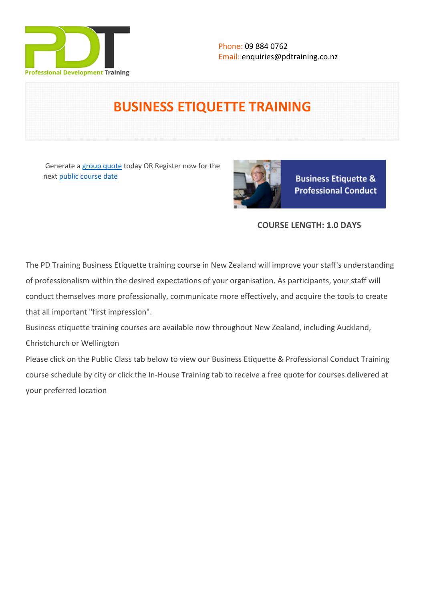

# **BUSINESS ETIQUETTE TRAINING**

 Generate a [group quote](https://pdtraining.co.nz/inhouse-training-quote?cse=PDT0004) today OR Register now for the next [public course date](https://pdtraining.co.nz/booking?schedulecode=nOQG8QnWpU0k8Lq23KzHaMZhGIZcPfS432emwJ7dwisUPgwyz9tiNgVLYI9A0lgjc6rgGdFtNvk1tfCAlCMQVKqXgDxXKGnlbjRSZq0vDaEr54rTfIoxIAxBPD9dPRSgi9ZkyUL4LrmVf92mlOScrY&countryCode=NZ¤cyCode=NZ)



**Business Etiquette & Professional Conduct** 

# **COURSE LENGTH: 1.0 DAYS**

The PD Training Business Etiquette training course in New Zealand will improve your staff's understanding of professionalism within the desired expectations of your organisation. As participants, your staff will conduct themselves more professionally, communicate more effectively, and acquire the tools to create that all important "first impression".

Business etiquette training courses are available now throughout New Zealand, including Auckland,

Christchurch or Wellington

Please click on the Public Class tab below to view our Business Etiquette & Professional Conduct Training course schedule by city or click the In-House Training tab to receive a free quote for courses delivered at your preferred location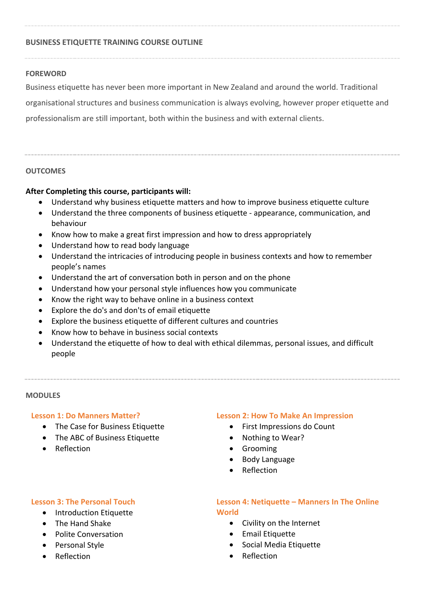# **BUSINESS ETIQUETTE TRAINING COURSE OUTLINE**

### **FOREWORD**

Business etiquette has never been more important in New Zealand and around the world. Traditional organisational structures and business communication is always evolving, however proper etiquette and professionalism are still important, both within the business and with external clients.

### **OUTCOMES**

### **After Completing this course, participants will:**

- Understand why business etiquette matters and how to improve business etiquette culture
- Understand the three components of business etiquette appearance, communication, and behaviour
- Know how to make a great first impression and how to dress appropriately
- Understand how to read body language
- Understand the intricacies of introducing people in business contexts and how to remember people's names
- Understand the art of conversation both in person and on the phone
- Understand how your personal style influences how you communicate
- Know the right way to behave online in a business context
- Explore the do's and don'ts of email etiquette
- Explore the business etiquette of different cultures and countries
- Know how to behave in business social contexts
- Understand the etiquette of how to deal with ethical dilemmas, personal issues, and difficult people

#### **MODULES**

#### **Lesson 1: Do Manners Matter?**

- The Case for Business Etiquette
- The ABC of Business Etiquette
- Reflection

#### **Lesson 2: How To Make An Impression**

- First Impressions do Count
- Nothing to Wear?
- **•** Grooming
- Body Language
- Reflection

#### **Lesson 3: The Personal Touch**

- Introduction Etiquette
- The Hand Shake
- Polite Conversation
- Personal Style
- Reflection

# **Lesson 4: Netiquette – Manners In The Online World**

- Civility on the Internet
- **•** Email Etiquette
- Social Media Etiquette
- Reflection